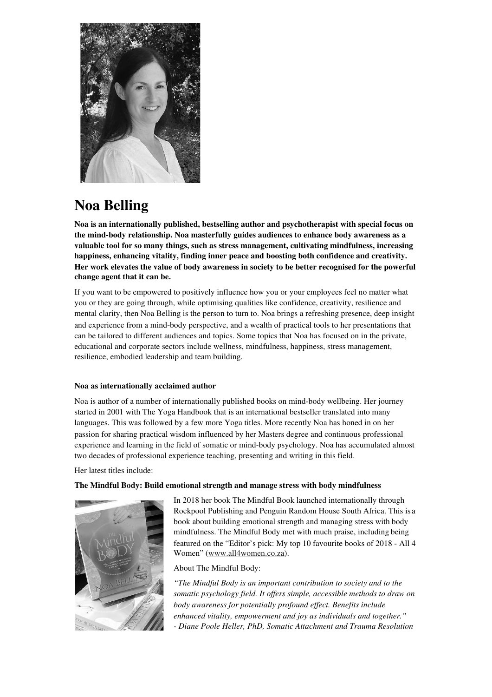

# **Noa Belling**

**Noa is an internationally published, bestselling author and psychotherapist with special focus on the mind-body relationship. Noa masterfully guides audiences to enhance body awareness as a valuable tool for so many things, such as stress management, cultivating mindfulness, increasing happiness, enhancing vitality, finding inner peace and boosting both confidence and creativity. Her work elevates the value of body awareness in society to be better recognised for the powerful change agent that it can be.** 

If you want to be empowered to positively influence how you or your employees feel no matter what you or they are going through, while optimising qualities like confidence, creativity, resilience and mental clarity, then Noa Belling is the person to turn to. Noa brings a refreshing presence, deep insight and experience from a mind-body perspective, and a wealth of practical tools to her presentations that can be tailored to different audiences and topics. Some topics that Noa has focused on in the private, educational and corporate sectors include wellness, mindfulness, happiness, stress management, resilience, embodied leadership and team building.

# **Noa as internationally acclaimed author**

Noa is author of a number of internationally published books on mind-body wellbeing. Her journey started in 2001 with The Yoga Handbook that is an international bestseller translated into many languages. This was followed by a few more Yoga titles. More recently Noa has honed in on her passion for sharing practical wisdom influenced by her Masters degree and continuous professional experience and learning in the field of somatic or mind-body psychology. Noa has accumulated almost two decades of professional experience teaching, presenting and writing in this field.

Her latest titles include:

## **The Mindful Body: Build emotional strength and manage stress with body mindfulness**



In 2018 her book The Mindful Book launched internationally through Rockpool Publishing and Penguin Random House South Africa. This is a book about building emotional strength and managing stress with body mindfulness. The Mindful Body met with much praise, including being featured on the "Editor's pick: My top 10 favourite books of 2018 - All 4 Women" (www.all4women.co.za).

About The Mindful Body:

*"The Mindful Body is an important contribution to society and to the somatic psychology field. It offers simple, accessible methods to draw on body awareness for potentially profound effect. Benefits include enhanced vitality, empowerment and joy as individuals and together." - Diane Poole Heller, PhD, Somatic Attachment and Trauma Resolution*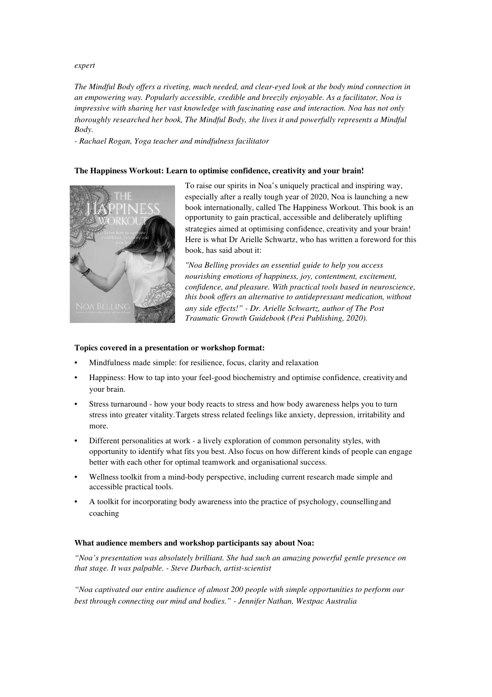### *expert*

*The Mindful Body offers a riveting, much needed, and clear-eyed look at the body mind connection in an empowering way. Popularly accessible, credible and breezily enjoyable. As a facilitator, Noa is impressive with sharing her vast knowledge with fascinating ease and interaction. Noa has not only thoroughly researched her book, The Mindful Body, she lives it and powerfully represents a Mindful Body.* 

*- Rachael Rogan, Yoga teacher and mindfulness facilitator* 

## **The Happiness Workout: Learn to optimise confidence, creativity and your brain!**



To raise our spirits in Noa's uniquely practical and inspiring way, especially after a really tough year of 2020, Noa is launching a new book internationally, called The Happiness Workout. This book is an opportunity to gain practical, accessible and deliberately uplifting strategies aimed at optimising confidence, creativity and your brain! Here is what Dr Arielle Schwartz, who has written a foreword for this book, has said about it:

*"Noa Belling provides an essential guide to help you access nourishing emotions of happiness, joy, contentment, excitement, confidence, and pleasure. With practical tools based in neuroscience, this book offers an alternative to antidepressant medication, without any side effects!" - Dr. Arielle Schwartz, author of The Post Traumatic Growth Guidebook (Pesi Publishing, 2020).*

### **Topics covered in a presentation or workshop format:**

- Mindfulness made simple: for resilience, focus, clarity and relaxation
- Happiness: How to tap into your feel-good biochemistry and optimise confidence, creativity and your brain.
- Stress turnaround how your body reacts to stress and how body awareness helps you to turn stress into greater vitality. Targets stress related feelings like anxiety, depression, irritability and more.
- Different personalities at work a lively exploration of common personality styles, with opportunity to identify what fits you best. Also focus on how different kinds of people can engage better with each other for optimal teamwork and organisational success.
- Wellness toolkit from a mind-body perspective, including current research made simple and accessible practical tools.
- A toolkit for incorporating body awareness into the practice of psychology, counselling and coaching

#### **What audience members and workshop participants say about Noa:**

*"Noa's presentation was absolutely brilliant. She had such an amazing powerful gentle presence on that stage. It was palpable. - Steve Durbach, artist-scientist* 

*"Noa captivated our entire audience of almost 200 people with simple opportunities to perform our best through connecting our mind and bodies." - Jennifer Nathan, Westpac Australia*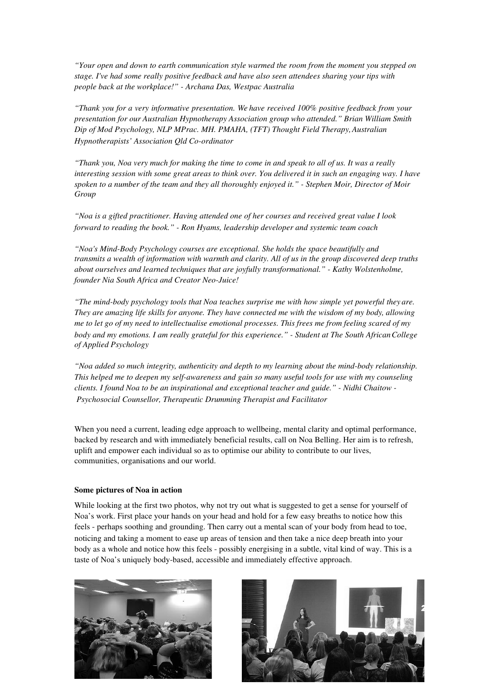*"Your open and down to earth communication style warmed the room from the moment you stepped on stage. I've had some really positive feedback and have also seen attendees sharing your tips with people back at the workplace!" - Archana Das, Westpac Australia* 

*"Thank you for a very informative presentation. We have received 100% positive feedback from your presentation for our Australian Hypnotherapy Association group who attended." Brian William Smith Dip of Mod Psychology, NLP MPrac. MH. PMAHA, (TFT) Thought Field Therapy, Australian Hypnotherapists' Association Qld Co-ordinator* 

*"Thank you, Noa very much for making the time to come in and speak to all of us. It was a really interesting session with some great areas to think over. You delivered it in such an engaging way. I have spoken to a number of the team and they all thoroughly enjoyed it." - Stephen Moir, Director of Moir Group* 

*"Noa is a gifted practitioner. Having attended one of her courses and received great value I look forward to reading the book." - Ron Hyams, leadership developer and systemic team coach* 

*"Noa's Mind-Body Psychology courses are exceptional. She holds the space beautifully and transmits a wealth of information with warmth and clarity. All of us in the group discovered deep truths about ourselves and learned techniques that are joyfully transformational." - Kathy Wolstenholme, founder Nia South Africa and Creator Neo-Juice!* 

*"The mind-body psychology tools that Noa teaches surprise me with how simple yet powerful they are. They are amazing life skills for anyone. They have connected me with the wisdom of my body, allowing me to let go of my need to intellectualise emotional processes. This frees me from feeling scared of my body and my emotions. I am really grateful for this experience." - Student at The South African College of Applied Psychology* 

*"Noa added so much integrity, authenticity and depth to my learning about the mind-body relationship. This helped me to deepen my self-awareness and gain so many useful tools for use with my counseling clients. I found Noa to be an inspirational and exceptional teacher and guide." - Nidhi Chaitow - Psychosocial Counsellor, Therapeutic Drumming Therapist and Facilitator* 

When you need a current, leading edge approach to wellbeing, mental clarity and optimal performance, backed by research and with immediately beneficial results, call on Noa Belling. Her aim is to refresh, uplift and empower each individual so as to optimise our ability to contribute to our lives, communities, organisations and our world.

#### **Some pictures of Noa in action**

While looking at the first two photos, why not try out what is suggested to get a sense for yourself of Noa's work. First place your hands on your head and hold for a few easy breaths to notice how this feels - perhaps soothing and grounding. Then carry out a mental scan of your body from head to toe, noticing and taking a moment to ease up areas of tension and then take a nice deep breath into your body as a whole and notice how this feels - possibly energising in a subtle, vital kind of way. This is a taste of Noa's uniquely body-based, accessible and immediately effective approach.